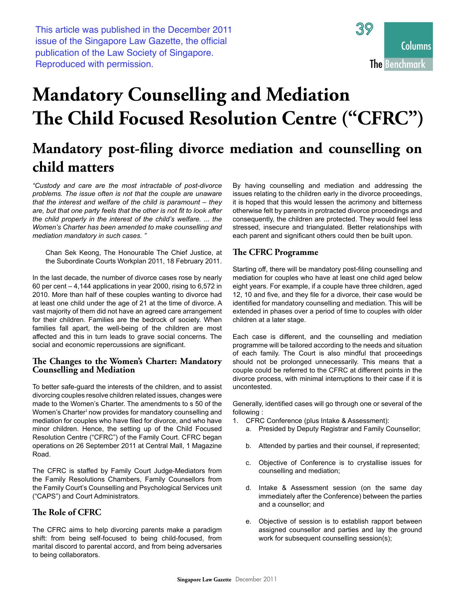This article was published in the December 2011 issue of the Singapore Law Gazette, the official publication of the Law Society of Singapore. Reproduced with permission.



# **Mandatory Counselling and Mediation** The Child Focused Resolution Centre ("CFRC")

# Mandatory post-filing divorce mediation and counselling on child matters

"Custody and care are the most intractable of post-divorce problems. The issue often is not that the couple are unaware that the interest and welfare of the child is paramount  $-$  they are, but that one party feels that the other is not fit to look after the child properly in the interest of the child's welfare. ... the Women's Charter has been amended to make counselling and mediation mandatory in such cases."

Chan Sek Keong, The Honourable The Chief Justice, at the Subordinate Courts Workplan 2011, 18 February 2011.

In the last decade, the number of divorce cases rose by nearly 60 per cent  $-4,144$  applications in year 2000, rising to 6,572 in 2010. More than half of these couples wanting to divorce had at least one child under the age of 21 at the time of divorce. A vast majority of them did not have an agreed care arrangement for their children. Families are the bedrock of society. When families fall apart, the well-being of the children are most affected and this in turn leads to grave social concerns. The social and economic repercussions are significant.

#### The Changes to the Women's Charter: Mandatory **Counselling and Mediation**

To better safe-guard the interests of the children, and to assist divorcing couples resolve children related issues, changes were made to the Women's Charter. The amendments to s 50 of the Women's Charter<sup>1</sup> now provides for mandatory counselling and mediation for couples who have filed for divorce, and who have minor children. Hence, the setting up of the Child Focused Resolution Centre ("CFRC") of the Family Court. CFRC began operations on 26 September 2011 at Central Mall, 1 Magazine Road.

The CFRC is staffed by Family Court Judge-Mediators from the Family Resolutions Chambers, Family Counsellors from the Family Court's Counselling and Psychological Services unit ("CAPS") and Court Administrators.

# The Role of CFRC

The CFRC aims to help divorcing parents make a paradigm shift: from being self-focused to being child-focused, from marital discord to parental accord, and from being adversaries to being collaborators.

By having counselling and mediation and addressing the issues relating to the children early in the divorce proceedings, it is hoped that this would lessen the acrimony and bitterness otherwise felt by parents in protracted divorce proceedings and consequently, the children are protected. They would feel less stressed, insecure and triangulated. Better relationships with each parent and significant others could then be built upon.

# The CFRC Programme

Starting off, there will be mandatory post-filing counselling and mediation for couples who have at least one child aged below eight years. For example, if a couple have three children, aged 12, 10 and five, and they file for a divorce, their case would be identified for mandatory counselling and mediation. This will be extended in phases over a period of time to couples with older children at a later stage.

Each case is different, and the counselling and mediation programme will be tailored according to the needs and situation of each family. The Court is also mindful that proceedings should not be prolonged unnecessarily. This means that a couple could be referred to the CFRC at different points in the divorce process, with minimal interruptions to their case if it is uncontested.

Generally, identified cases will go through one or several of the following:

- 1. CFRC Conference (plus Intake & Assessment):
	- a. Presided by Deputy Registrar and Family Counsellor;
	- h. Attended by parties and their counsel, if represented;
	- $C<sub>1</sub>$ Objective of Conference is to crystallise issues for counselling and mediation;
	- d. Intake & Assessment session (on the same day immediately after the Conference) between the parties and a counsellor; and
	- e. Objective of session is to establish rapport between assigned counsellor and parties and lay the ground work for subsequent counselling session(s);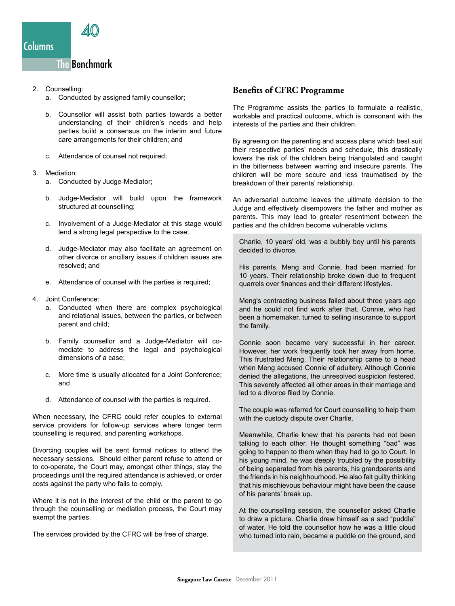# 2. Counselling:

- a. Conducted by assigned family counsellor;
- b. Counsellor will assist both parties towards a better understanding of their children's needs and help parties build a consensus on the interim and future care arrangements for their children; and
- c. Attendance of counsel not required:
- 3. Mediation:
	- a. Conducted by Judge-Mediator:
	- b. Judge-Mediator will build upon the framework structured at counselling;
	- c. Involvement of a Judge-Mediator at this stage would lend a strong legal perspective to the case;
	- d. Judge-Mediator may also facilitate an agreement on other divorce or ancillary issues if children issues are resolved: and
	- e. Attendance of counsel with the parties is required;
- 4. Joint Conference:
	- a. Conducted when there are complex psychological and relational issues, between the parties, or between parent and child;
	- b. Family counsellor and a Judge-Mediator will comediate to address the legal and psychological dimensions of a case:
	- c. More time is usually allocated for a Joint Conference; and
	- d. Attendance of counsel with the parties is required.

When necessary, the CFRC could refer couples to external service providers for follow-up services where longer term counselling is required, and parenting workshops.

Divorcing couples will be sent formal notices to attend the necessary sessions. Should either parent refuse to attend or to co-operate, the Court may, amongst other things, stay the proceedings until the required attendance is achieved, or order costs against the party who fails to comply.

Where it is not in the interest of the child or the parent to go through the counselling or mediation process, the Court may exempt the parties.

The services provided by the CFRC will be free of charge.

### **Benefits of CFRC Programme**

The Programme assists the parties to formulate a realistic, workable and practical outcome, which is consonant with the interests of the parties and their children.

By agreeing on the parenting and access plans which best suit their respective parties' needs and schedule, this drastically lowers the risk of the children being triangulated and caught in the bitterness between warring and insecure parents. The children will be more secure and less traumatised by the breakdown of their parents' relationship.

An adversarial outcome leaves the ultimate decision to the Judge and effectively disempowers the father and mother as parents. This may lead to greater resentment between the parties and the children become vulnerable victims.

Charlie, 10 years' old, was a bubbly boy until his parents decided to divorce.

His parents, Meng and Connie, had been married for 10 years. Their relationship broke down due to frequent quarrels over finances and their different lifestyles.

Meng's contracting business failed about three years ago and he could not find work after that. Connie, who had been a homemaker, turned to selling insurance to support the family.

Connie soon became very successful in her career. However, her work frequently took her away from home. This frustrated Meng. Their relationship came to a head when Meng accused Connie of adultery. Although Connie denied the allegations, the unresolved suspicion festered. This severely affected all other areas in their marriage and led to a divorce filed by Connie.

The couple was referred for Court counselling to help them with the custody dispute over Charlie.

Meanwhile, Charlie knew that his parents had not been talking to each other. He thought something "bad" was going to happen to them when they had to go to Court. In his young mind, he was deeply troubled by the possibility of being separated from his parents, his grandparents and the friends in his neighhourhood. He also felt quilty thinking that his mischievous behaviour might have been the cause of his parents' break up.

At the counselling session, the counsellor asked Charlie to draw a picture. Charlie drew himself as a sad "puddle" of water. He told the counsellor how he was a little cloud who turned into rain, became a puddle on the ground, and